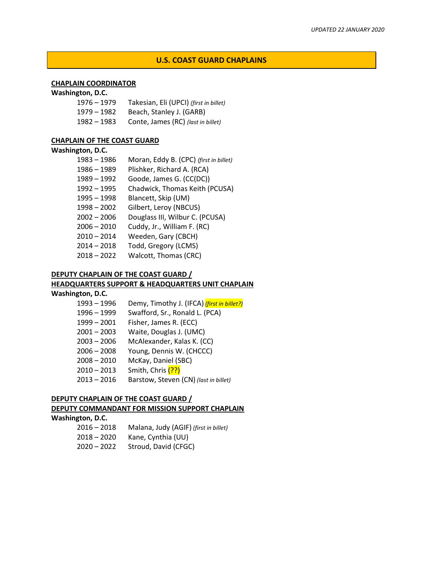## **U.S. COAST GUARD CHAPLAINS**

## **CHAPLAIN COORDINATOR**

#### **Washington, D.C.**

| $1976 - 1979$ | Takesian, Eli (UPCI) (first in billet) |
|---------------|----------------------------------------|
| $1979 - 1982$ | Beach, Stanley J. (GARB)               |
| $1982 - 1983$ | Conte, James (RC) (last in billet)     |

## **CHAPLAIN OF THE COAST GUARD**

#### **Washington, D.C.**

| 1983 - 1986   | Moran, Eddy B. (CPC) (first in billet) |
|---------------|----------------------------------------|
| 1986 - 1989   | Plishker, Richard A. (RCA)             |
| $1989 - 1992$ | Goode, James G. (CC(DC))               |
| 1992 - 1995   | Chadwick, Thomas Keith (PCUSA)         |
| $1995 - 1998$ | Blancett, Skip (UM)                    |
| $1998 - 2002$ | Gilbert, Leroy (NBCUS)                 |
| $2002 - 2006$ | Douglass III, Wilbur C. (PCUSA)        |
| $2006 - 2010$ | Cuddy, Jr., William F. (RC)            |
| $2010 - 2014$ | Weeden, Gary (CBCH)                    |
| $2014 - 2018$ | Todd, Gregory (LCMS)                   |
| $2018 - 2022$ | Walcott, Thomas (CRC)                  |
|               |                                        |

### **DEPUTY CHAPLAIN OF THE COAST GUARD /**

### **HEADQUARTERS SUPPORT & HEADQUARTERS UNIT CHAPLAIN**

### **Washington, D.C.**

| $1993 - 1996$ | Demy, Timothy J. (IFCA) (first in billet?) |
|---------------|--------------------------------------------|
| $1996 - 1999$ | Swafford, Sr., Ronald L. (PCA)             |
| $1999 - 2001$ | Fisher, James R. (ECC)                     |
| $2001 - 2003$ | Waite, Douglas J. (UMC)                    |
| $2003 - 2006$ | McAlexander, Kalas K. (CC)                 |
| $2006 - 2008$ | Young, Dennis W. (CHCCC)                   |
| $2008 - 2010$ | McKay, Daniel (SBC)                        |
| $2010 - 2013$ | Smith, Chris (??)                          |
| $2013 - 2016$ | Barstow, Steven (CN) (last in billet)      |

# **DEPUTY CHAPLAIN OF THE COAST GUARD / DEPUTY COMMANDANT FOR MISSION SUPPORT CHAPLAIN Washington, D.C.**

 – 2018 Malana, Judy (AGIF) *(first in billet)* – 2020 Kane, Cynthia (UU) – 2022 Stroud, David (CFGC)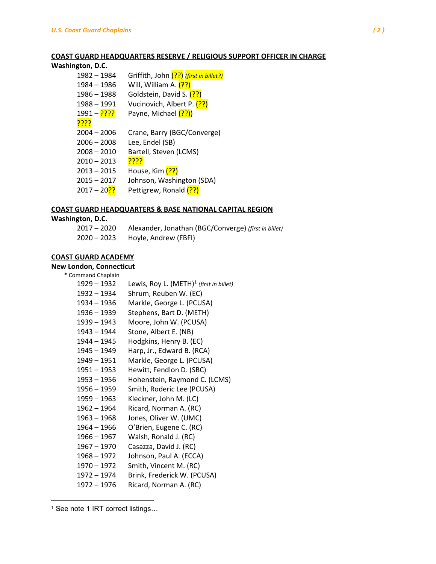### **COAST GUARD HEADQUARTERS RESERVE / RELIGIOUS SUPPORT OFFICER IN CHARGE**

# **Washington, D.C.**

| 1982 - 1984               | Griffith, John (??) (first in billet?) |
|---------------------------|----------------------------------------|
| 1984 - 1986               | Will, William A. (??)                  |
| $1986 - 1988$             | Goldstein, David S. (??)               |
| $1988 - 1991$             | Vucinovich, Albert P. (??)             |
| <mark>????</mark> – 1991  | Payne, Michael (??))                   |
| <u>????</u>               |                                        |
| $2004 - 2006$             | Crane, Barry (BGC/Converge)            |
| $2006 - 2008$             | Lee, Endel (SB)                        |
| $2008 - 2010$             | Bartell, Steven (LCMS)                 |
| $2010 - 2013$             | <u>????</u>                            |
| $2013 - 2015$             | House, Kim (??)                        |
| $2015 - 2017$             | Johnson, Washington (SDA)              |
| 2017 – 20 <mark>??</mark> | Pettigrew, Ronald (??)                 |
|                           |                                        |

### **COAST GUARD HEADQUARTERS & BASE NATIONAL CAPITAL REGION**

#### **Washington, D.C.**

| 2017 – 2020 | Alexander, Jonathan (BGC/Converge) (first in billet) |
|-------------|------------------------------------------------------|
| 2020 – 2023 | Hoyle, Andrew (FBFI)                                 |

## **COAST GUARD ACADEMY**

#### **New London, Connecticut**  $*$  Cor

| Lewis, Roy L. $(METH)^1$ (first in billet) |
|--------------------------------------------|
| Shrum, Reuben W. (EC)                      |
| Markle, George L. (PCUSA)                  |
| Stephens, Bart D. (METH)                   |
| Moore, John W. (PCUSA)                     |
| Stone, Albert E. (NB)                      |
| Hodgkins, Henry B. (EC)                    |
| Harp, Jr., Edward B. (RCA)                 |
| Markle, George L. (PCUSA)                  |
| Hewitt, Fendlon D. (SBC)                   |
| Hohenstein, Raymond C. (LCMS)              |
| Smith, Roderic Lee (PCUSA)                 |
| Kleckner, John M. (LC)                     |
| Ricard, Norman A. (RC)                     |
| Jones, Oliver W. (UMC)                     |
| O'Brien, Eugene C. (RC)                    |
| Walsh, Ronald J. (RC)                      |
| Casazza, David J. (RC)                     |
| Johnson, Paul A. (ECCA)                    |
| Smith, Vincent M. (RC)                     |
| Brink, Frederick W. (PCUSA)                |
| Ricard, Norman A. (RC)                     |
|                                            |

See note 1 IRT correct listings…

 $\overline{a}$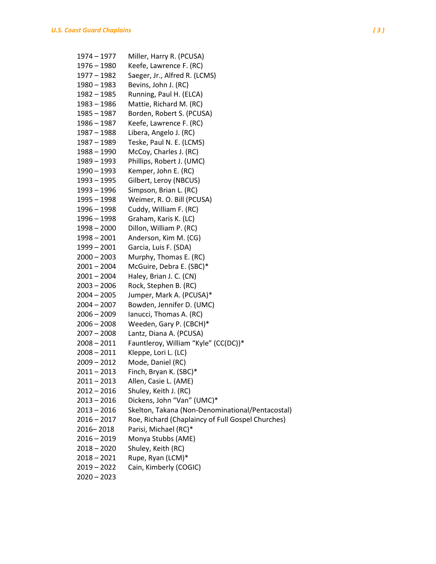| 1974 - 1977   | Miller, Harry R. (PCUSA)                          |
|---------------|---------------------------------------------------|
| 1976 - 1980   | Keefe, Lawrence F. (RC)                           |
| 1977 - 1982   | Saeger, Jr., Alfred R. (LCMS)                     |
| 1980 - 1983   | Bevins, John J. (RC)                              |
| 1982 - 1985   | Running, Paul H. (ELCA)                           |
| 1983 - 1986   | Mattie, Richard M. (RC)                           |
| 1985 - 1987   | Borden, Robert S. (PCUSA)                         |
| 1986 – 1987   | Keefe, Lawrence F. (RC)                           |
| 1987 - 1988   | Libera, Angelo J. (RC)                            |
| 1987 - 1989   | Teske, Paul N. E. (LCMS)                          |
| 1988 - 1990   | McCoy, Charles J. (RC)                            |
| 1989 - 1993   | Phillips, Robert J. (UMC)                         |
| 1990 - 1993   | Kemper, John E. (RC)                              |
| 1993 - 1995   | Gilbert, Leroy (NBCUS)                            |
| 1993 - 1996   | Simpson, Brian L. (RC)                            |
| 1995 - 1998   | Weimer, R. O. Bill (PCUSA)                        |
| 1996 - 1998   | Cuddy, William F. (RC)                            |
| 1996 - 1998   | Graham, Karis K. (LC)                             |
| $1998 - 2000$ | Dillon, William P. (RC)                           |
| $1998 - 2001$ | Anderson, Kim M. (CG)                             |
| 1999 - 2001   | Garcia, Luis F. (SDA)                             |
| $2000 - 2003$ | Murphy, Thomas E. (RC)                            |
| $2001 - 2004$ | McGuire, Debra E. (SBC)*                          |
| $2001 - 2004$ | Haley, Brian J. C. (CN)                           |
| 2003 – 2006   | Rock, Stephen B. (RC)                             |
| $2004 - 2005$ | Jumper, Mark A. (PCUSA)*                          |
| $2004 - 2007$ | Bowden, Jennifer D. (UMC)                         |
| 2006 - 2009   | Ianucci, Thomas A. (RC)                           |
| 2006 - 2008   | Weeden, Gary P. (CBCH)*                           |
| $2007 - 2008$ | Lantz, Diana A. (PCUSA)                           |
| $2008 - 2011$ | Fauntleroy, William "Kyle" (CC(DC))*              |
| $2008 - 2011$ | Kleppe, Lori L. (LC)                              |
| $2009 - 2012$ | Mode, Daniel (RC)                                 |
| $2011 - 2013$ | Finch, Bryan K. (SBC)*                            |
| $2011 - 2013$ | Allen, Casie L. (AME)                             |
| $2012 - 2016$ | Shuley, Keith J. (RC)                             |
| $2013 - 2016$ | Dickens, John "Van" (UMC)*                        |
| $2013 - 2016$ | Skelton, Takana (Non-Denominational/Pentacostal)  |
| $2016 - 2017$ | Roe, Richard (Chaplaincy of Full Gospel Churches) |
| 2016-2018     | Parisi, Michael (RC)*                             |
| 2016 - 2019   | Monya Stubbs (AME)                                |
| $2018 - 2020$ | Shuley, Keith (RC)                                |
| $2018 - 2021$ | Rupe, Ryan (LCM)*                                 |
| $2019 - 2022$ | Cain, Kimberly (COGIC)                            |
| $2020 - 2023$ |                                                   |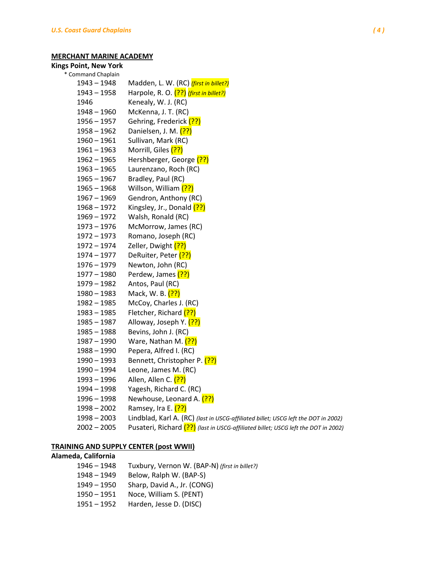## **MERCHANT MARINE ACADEMY**

# **Kings Point, New York**

| * Command Chaplain |                                                                                    |
|--------------------|------------------------------------------------------------------------------------|
| $1943 - 1948$      | Madden, L. W. (RC) (first in billet?)                                              |
| $1943 - 1958$      | Harpole, R. O. (??) (first in billet?)                                             |
| 1946               | Kenealy, W. J. (RC)                                                                |
| $1948 - 1960$      | McKenna, J. T. (RC)                                                                |
| $1956 - 1957$      | Gehring, Frederick (??)                                                            |
| $1958 - 1962$      | Danielsen, J. M. (??)                                                              |
| $1960 - 1961$      | Sullivan, Mark (RC)                                                                |
| $1961 - 1963$      | Morrill, Giles (??)                                                                |
| $1962 - 1965$      | Hershberger, George (??)                                                           |
| $1963 - 1965$      | Laurenzano, Roch (RC)                                                              |
| $1965 - 1967$      | Bradley, Paul (RC)                                                                 |
| $1965 - 1968$      | Willson, William (??)                                                              |
| $1967 - 1969$      | Gendron, Anthony (RC)                                                              |
| $1968 - 1972$      | Kingsley, Jr., Donald (??)                                                         |
| $1969 - 1972$      | Walsh, Ronald (RC)                                                                 |
| $1973 - 1976$      | McMorrow, James (RC)                                                               |
| $1972 - 1973$      | Romano, Joseph (RC)                                                                |
| $1972 - 1974$      | Zeller, Dwight (??)                                                                |
| $1974 - 1977$      | DeRuiter, Peter (??)                                                               |
| $1976 - 1979$      | Newton, John (RC)                                                                  |
| $1977 - 1980$      | Perdew, James (??)                                                                 |
| 1979 - 1982        | Antos, Paul (RC)                                                                   |
| $1980 - 1983$      | Mack, W. B. (??)                                                                   |
| $1982 - 1985$      | McCoy, Charles J. (RC)                                                             |
| $1983 - 1985$      | Fletcher, Richard (??)                                                             |
| $1985 - 1987$      | Alloway, Joseph Y. (??)                                                            |
| $1985 - 1988$      | Bevins, John J. (RC)                                                               |
| $1987 - 1990$      | Ware, Nathan M. (??)                                                               |
| $1988 - 1990$      | Pepera, Alfred I. (RC)                                                             |
| $1990 - 1993$      | Bennett, Christopher P. (??)                                                       |
| 1990 - 1994        | Leone, James M. (RC)                                                               |
| 1993 - 1996        | Allen, Allen C. (??)                                                               |
| 1994 - 1998        | Yagesh, Richard C. (RC)                                                            |
| 1996 – 1998        | Newhouse, Leonard A. (??)                                                          |
| $1998 - 2002$      | Ramsey, Ira E. <mark>(??)</mark>                                                   |
| $1998 - 2003$      | Lindblad, Karl A. (RC) (last in USCG-affiliated billet; USCG left the DOT in 2002) |
| $2002 - 2005$      | Pusateri, Richard (??) (last in USCG-affiliated billet; USCG left the DOT in 2002) |
|                    |                                                                                    |

# **TRAINING AND SUPPLY CENTER (post WWII)**

# **Alameda, California**

| 1946 – 1948 | Tuxbury, Vernon W. (BAP-N) (first in billet?) |
|-------------|-----------------------------------------------|
| 1948 – 1949 | Below, Ralph W. (BAP-S)                       |
| 1949 – 1950 | Sharp, David A., Jr. (CONG)                   |
| 1950 – 1951 | Noce, William S. (PENT)                       |
| 1951 – 1952 | Harden, Jesse D. (DISC)                       |
|             |                                               |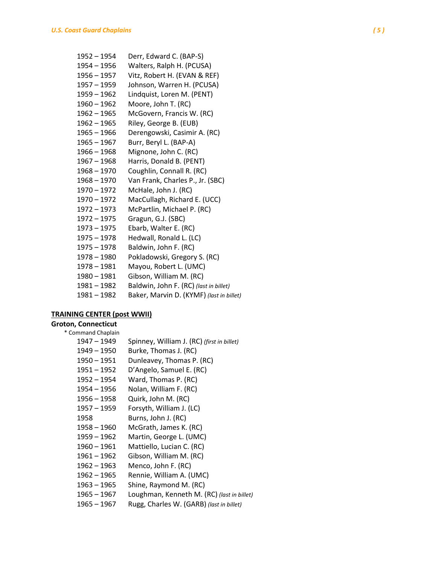| 1952 – 1954   | Derr, Edward C. (BAP-S)                  |
|---------------|------------------------------------------|
| 1954 – 1956   | Walters, Ralph H. (PCUSA)                |
| 1956 – 1957   | Vitz, Robert H. (EVAN & REF)             |
| $1957 - 1959$ | Johnson, Warren H. (PCUSA)               |
| 1959 – 1962   | Lindquist, Loren M. (PENT)               |
| 1960 - 1962   | Moore, John T. (RC)                      |
| $1962 - 1965$ | McGovern, Francis W. (RC)                |
| $1962 - 1965$ | Riley, George B. (EUB)                   |
| $1965 - 1966$ | Derengowski, Casimir A. (RC)             |
| $1965 - 1967$ | Burr, Beryl L. (BAP-A)                   |
| 1966 - 1968   | Mignone, John C. (RC)                    |
| 1967 – 1968   | Harris, Donald B. (PENT)                 |
| $1968 - 1970$ | Coughlin, Connall R. (RC)                |
| 1968 – 1970   | Van Frank, Charles P., Jr. (SBC)         |
| $1970 - 1972$ | McHale, John J. (RC)                     |
| 1970 - 1972   | MacCullagh, Richard E. (UCC)             |
| 1972 - 1973   | McPartlin, Michael P. (RC)               |
| $1972 - 1975$ | Gragun, G.J. (SBC)                       |
| 1973 – 1975   | Ebarb, Walter E. (RC)                    |
| 1975 - 1978   | Hedwall, Ronald L. (LC)                  |
| $1975 - 1978$ | Baldwin, John F. (RC)                    |
| $1978 - 1980$ | Pokladowski, Gregory S. (RC)             |
| 1978 - 1981   | Mayou, Robert L. (UMC)                   |
| 1980 - 1981   | Gibson, William M. (RC)                  |
| 1981 – 1982   | Baldwin, John F. (RC) (last in billet)   |
| $1981 - 1982$ | Baker, Marvin D. (KYMF) (last in billet) |

# **TRAINING CENTER (post WWII)**

# **Groton, Connecticut**

\* Command Chaplain

| Spinney, William J. (RC) (first in billet) |
|--------------------------------------------|
| Burke, Thomas J. (RC)                      |
| Dunleavey, Thomas P. (RC)                  |
| D'Angelo, Samuel E. (RC)                   |
| Ward, Thomas P. (RC)                       |
| Nolan, William F. (RC)                     |
| Quirk, John M. (RC)                        |
| Forsyth, William J. (LC)                   |
| Burns, John J. (RC)                        |
| McGrath, James K. (RC)                     |
| Martin, George L. (UMC)                    |
| Mattiello, Lucian C. (RC)                  |
| Gibson, William M. (RC)                    |
| Menco, John F. (RC)                        |
| Rennie, William A. (UMC)                   |
| Shine, Raymond M. (RC)                     |
| Loughman, Kenneth M. (RC) (last in billet) |
| Rugg, Charles W. (GARB) (last in billet)   |
|                                            |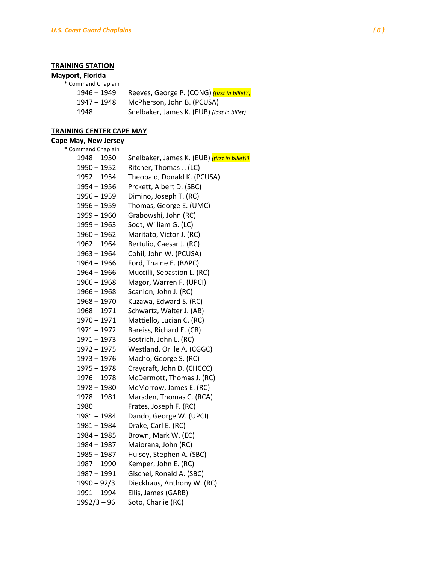# **TRAINING STATION**

#### **Mayport, Florida**

| * Command Chaplain |                                             |
|--------------------|---------------------------------------------|
| $1946 - 1949$      | Reeves, George P. (CONG) (first in billet?) |
| 1947 - 1948        | McPherson, John B. (PCUSA)                  |
| 1948               | Snelbaker, James K. (EUB) (last in billet)  |
|                    |                                             |

# **TRAINING CENTER CAPE MAY**

### **Cape May, New Jersey**

| * Command Chaplain |                                                     |
|--------------------|-----------------------------------------------------|
| $1948 - 1950$      | Snelbaker, James K. (EUB) <i>(first in billet?)</i> |
| $1950 - 1952$      | Ritcher, Thomas J. (LC)                             |
| $1952 - 1954$      | Theobald, Donald K. (PCUSA)                         |
| $1954 - 1956$      | Prckett, Albert D. (SBC)                            |
| $1956 - 1959$      | Dimino, Joseph T. (RC)                              |
| $1956 - 1959$      | Thomas, George E. (UMC)                             |
| 1959 - 1960        | Grabowshi, John (RC)                                |
| $1959 - 1963$      | Sodt, William G. (LC)                               |
| $1960 - 1962$      | Maritato, Victor J. (RC)                            |
| $1962 - 1964$      | Bertulio, Caesar J. (RC)                            |
| $1963 - 1964$      | Cohil, John W. (PCUSA)                              |
| $1964 - 1966$      | Ford, Thaine E. (BAPC)                              |
| $1964 - 1966$      | Muccilli, Sebastion L. (RC)                         |
| $1966 - 1968$      | Magor, Warren F. (UPCI)                             |
| $1966 - 1968$      | Scanlon, John J. (RC)                               |
| $1968 - 1970$      | Kuzawa, Edward S. (RC)                              |
| $1968 - 1971$      | Schwartz, Walter J. (AB)                            |
| 1970 - 1971        | Mattiello, Lucian C. (RC)                           |
| 1971 - 1972        | Bareiss, Richard E. (CB)                            |
| 1971 - 1973        | Sostrich, John L. (RC)                              |
| $1972 - 1975$      | Westland, Orille A. (CGGC)                          |
| $1973 - 1976$      | Macho, George S. (RC)                               |
| $1975 - 1978$      | Craycraft, John D. (CHCCC)                          |
| $1976 - 1978$      | McDermott, Thomas J. (RC)                           |
| $1978 - 1980$      | McMorrow, James E. (RC)                             |
| $1978 - 1981$      | Marsden, Thomas C. (RCA)                            |
| 1980               | Frates, Joseph F. (RC)                              |
| $1981 - 1984$      | Dando, George W. (UPCI)                             |
| 1981 - 1984        | Drake, Carl E. (RC)                                 |
| $1984 - 1985$      | Brown, Mark W. (EC)                                 |
| $1984 - 1987$      | Maiorana, John (RC)                                 |
| $1985 - 1987$      | Hulsey, Stephen A. (SBC)                            |
| $1987 - 1990$      | Kemper, John E. (RC)                                |
| $1987 - 1991$      | Gischel, Ronald A. (SBC)                            |
| $1990 - 92/3$      | Dieckhaus, Anthony W. (RC)                          |
| 1991 - 1994        | Ellis, James (GARB)                                 |
| $1992/3 - 96$      | Soto, Charlie (RC)                                  |
|                    |                                                     |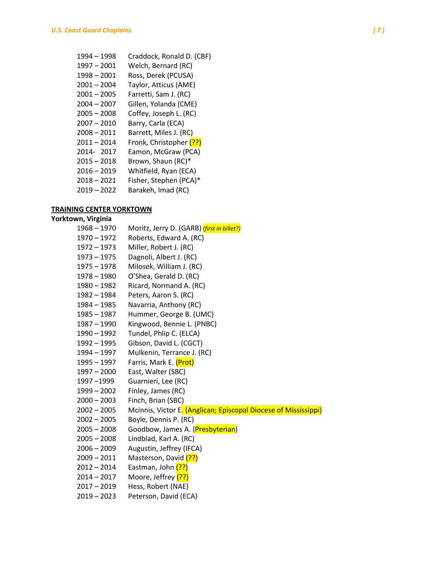| 1994 - 1998   | Craddock, Ronald D. (CBF) |
|---------------|---------------------------|
| 1997 - 2001   | Welch, Bernard (RC)       |
| 1998 - 2001   | Ross, Derek (PCUSA)       |
| 2001-2004     | Taylor, Atticus (AME)     |
| $2001 - 2005$ | Farretti, Sam J. (RC)     |
| $2004 - 2007$ | Gillen, Yolanda (CME)     |
| $2005 - 2008$ | Coffey, Joseph L. (RC)    |
| 2007 - 2010   | Barry, Carla (ECA)        |
| $2008 - 2011$ | Barrett, Miles J. (RC)    |
| $2011 - 2014$ | Fronk, Christopher (??)   |
| 2014-2017     | Eamon, McGraw (PCA)       |
| $2015 - 2018$ | Brown, Shaun (RC)*        |
| $2016 - 2019$ | Whitfield, Ryan (ECA)     |
| $2018 - 2021$ | Fisher, Stephen (PCA)*    |
| 2019 - 2022   | Barakeh, Imad (RC)        |
|               |                           |

# **TRAINING CENTER YORKTOWN**

#### **Yorktown, Virginia**

| $1968 - 1970$ | Moritz, Jerry D. (GARB) (first in billet?)                      |
|---------------|-----------------------------------------------------------------|
| 1970 - 1972   | Roberts, Edward A. (RC)                                         |
| 1972 - 1973   | Miller, Robert J. (RC)                                          |
| 1973 - 1975   | Dagnoli, Albert J. (RC)                                         |
| $1975 - 1978$ | Milosek, William J. (RC)                                        |
| 1978 - 1980   | O'Shea, Gerald D. (RC)                                          |
| 1980 - 1982   | Ricard, Normand A. (RC)                                         |
| 1982 - 1984   | Peters, Aaron S. (RC)                                           |
| 1984 - 1985   | Navarria, Anthony (RC)                                          |
| 1985 - 1987   | Hummer, George B. (UMC)                                         |
| 1987 - 1990   | Kingwood, Bennie L. (PNBC)                                      |
| 1990 - 1992   | Tundel, Phlip C. (ELCA)                                         |
| 1992 - 1995   | Gibson, David L. (CGCT)                                         |
| 1994 - 1997   | Mulkenin, Terrance J. (RC)                                      |
| 1995 - 1997   | Farris, Mark E. (Prot)                                          |
| $1997 - 2000$ | East, Walter (SBC)                                              |
| 1997 –1999    | Guarnieri, Lee (RC)                                             |
| 1999 - 2002   | Finley, James (RC)                                              |
| $2000 - 2003$ | Finch, Brian (SBC)                                              |
| $2002 - 2005$ | Mcinnis, Victor E. (Anglican; Episcopal Diocese of Mississippi) |
| $2002 - 2005$ | Boyle, Dennis P. (RC)                                           |
| $2005 - 2008$ | Goodbow, James A. (Presbyterian)                                |
| $2005 - 2008$ | Lindblad, Karl A. (RC)                                          |
| $2006 - 2009$ | Augustin, Jeffrey (IFCA)                                        |
| $2009 - 2011$ | Masterson, David (??)                                           |
| $2012 - 2014$ | Eastman, John (??)                                              |
| $2014 - 2017$ | Moore, Jeffrey (??)                                             |
| $2017 - 2019$ | Hess, Robert (NAE)                                              |
| $2019 - 2023$ | Peterson, David (ECA)                                           |
|               |                                                                 |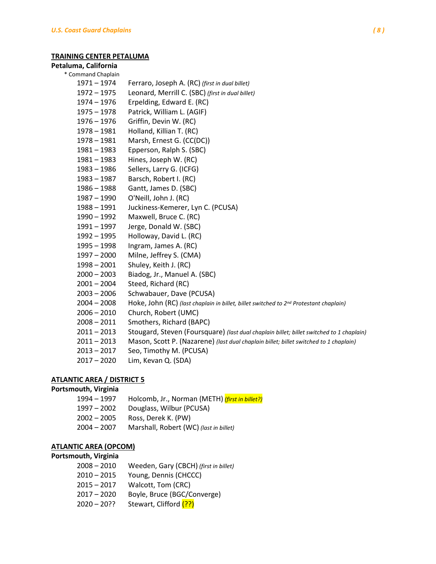#### **TRAINING CENTER PETALUMA**

### **Petaluma, California**

# \* Command Chaplain

 – 1974 Ferraro, Joseph A. (RC) *(first in dual billet)* – 1975 Leonard, Merrill C. (SBC) *(first in dual billet)* – 1976 Erpelding, Edward E. (RC) – 1978 Patrick, William L. (AGIF) – 1976 Griffin, Devin W. (RC) – 1981 Holland, Killian T. (RC) – 1981 Marsh, Ernest G. (CC(DC)) – 1983 Epperson, Ralph S. (SBC) – 1983 Hines, Joseph W. (RC) – 1986 Sellers, Larry G. (ICFG) – 1987 Barsch, Robert I. (RC) – 1988 Gantt, James D. (SBC) – 1990 O'Neill, John J. (RC) – 1991 Juckiness-Kemerer, Lyn C. (PCUSA) – 1992 Maxwell, Bruce C. (RC) – 1997 Jerge, Donald W. (SBC) – 1995 Holloway, David L. (RC) – 1998 Ingram, James A. (RC) – 2000 Milne, Jeffrey S. (CMA) – 2001 Shuley, Keith J. (RC) – 2003 Biadog, Jr., Manuel A. (SBC) – 2004 Steed, Richard (RC) – 2006 Schwabauer, Dave (PCUSA) – 2008 Hoke, John (RC) *(last chaplain in billet, billet switched to 2nd Protestant chaplain)* – 2010 Church, Robert (UMC) – 2011 Smothers, Richard (BAPC) – 2013 Stougard, Steven (Foursquare) *(last dual chaplain billet; billet switched to 1 chaplain)* – 2013 Mason, Scott P. (Nazarene) *(last dual chaplain billet; billet switched to 1 chaplain)* – 2017 Seo, Timothy M. (PCUSA) – 2020 Lim, Kevan Q. (SDA)

### **ATLANTIC AREA / DISTRICT 5**

#### **Portsmouth, Virginia**

– 1997 Holcomb, Jr., Norman (METH) *(first in billet?)* – 2002 Douglass, Wilbur (PCUSA) – 2005 Ross, Derek K. (PW) – 2007 Marshall, Robert (WC) *(last in billet)*

### **ATLANTIC AREA (OPCOM)**

#### **Portsmouth, Virginia**

| 2008 – 2010   | Weeden, Gary (CBCH) (first in billet) |
|---------------|---------------------------------------|
| 2010 - 2015   | Young, Dennis (CHCCC)                 |
| 2015 - 2017   | Walcott, Tom (CRC)                    |
| $2017 - 2020$ | Boyle, Bruce (BGC/Converge)           |
| $2020 - 20??$ | Stewart, Clifford (??)                |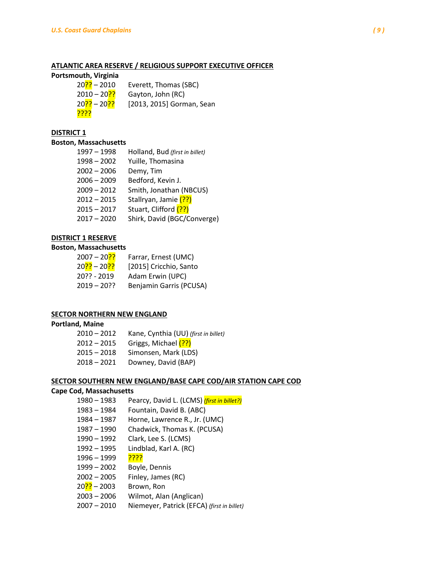#### **ATLANTIC AREA RESERVE / RELIGIOUS SUPPORT EXECUTIVE OFFICER**

#### **Portsmouth, Virginia**

| $20$ ?? – 2010               | Everett, Thomas (SBC)     |
|------------------------------|---------------------------|
| $2010 - 20$ ?                | Gayton, John (RC)         |
| $20$ ?? – 20 <mark>??</mark> | [2013, 2015] Gorman, Sean |
| <u>קקקק</u>                  |                           |

### **DISTRICT 1**

### **Boston, Massachusetts**

| 1997 - 1998   | Holland, Bud (first in billet) |
|---------------|--------------------------------|
| $1998 - 2002$ | Yuille, Thomasina              |
| $2002 - 2006$ | Demy, Tim                      |
| $2006 - 2009$ | Bedford, Kevin J.              |
| $2009 - 2012$ | Smith, Jonathan (NBCUS)        |
| $2012 - 2015$ | Stallryan, Jamie (??)          |
| $2015 - 2017$ | Stuart, Clifford (??)          |
| $2017 - 2020$ | Shirk, David (BGC/Converge)    |

### **DISTRICT 1 RESERVE**

## **Boston, Massachusetts**

| 2007 – 20 <mark>??</mark>               | Farrar, Ernest (UMC)    |
|-----------------------------------------|-------------------------|
| 20 <mark>??</mark> – 20 <mark>??</mark> | [2015] Cricchio, Santo  |
| $20$ ?? - 2019                          | Adam Erwin (UPC)        |
| $2019 - 20$ ?                           | Benjamin Garris (PCUSA) |

### **SECTOR NORTHERN NEW ENGLAND**

#### **Portland, Maine**

| $2010 - 2012$ | Kane, Cynthia (UU) (first in billet) |
|---------------|--------------------------------------|
| $2012 - 2015$ | Griggs, Michael (??)                 |
| $2015 - 2018$ | Simonsen, Mark (LDS)                 |
| $2018 - 2021$ | Downey, David (BAP)                  |

#### **SECTOR SOUTHERN NEW ENGLAND/BASE CAPE COD/AIR STATION CAPE COD**

#### **Cape Cod, Massachusetts**

- 1980 1983 Pearcy, David L. (LCMS) *(first in billet?)*
- 1983 1984 Fountain, David B. (ABC)
- 1984 1987 Horne, Lawrence R., Jr. (UMC)
- 1987 1990 Chadwick, Thomas K. (PCUSA)
- 1990 1992 Clark, Lee S. (LCMS)
- 1992 1995 Lindblad, Karl A. (RC)
- 1996 1999 <mark>????</mark>
- 1999 2002 Boyle, Dennis
- 2002 2005 Finley, James (RC)
- 20<sup>?</sup>? 2003 Brown, Ron
- 2003 2006 Wilmot, Alan (Anglican)
- 2007 2010 Niemeyer, Patrick (EFCA) *(first in billet)*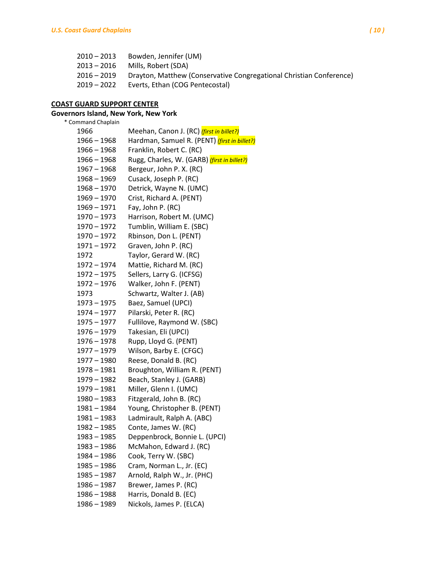| $2010 - 2013$ | Bowden, Jennifer (UM)                                               |
|---------------|---------------------------------------------------------------------|
| 2013 – 2016   | Mills. Robert (SDA)                                                 |
| 2016 – 2019   | Drayton, Matthew (Conservative Congregational Christian Conference) |
| 2019 – 2022   | Everts, Ethan (COG Pentecostal)                                     |

# **COAST GUARD SUPPORT CENTER**

# **Governors Island, New York, New York**

| * Command Chaplain |                                                     |
|--------------------|-----------------------------------------------------|
| 1966               | Meehan, Canon J. (RC) (first in billet?)            |
| 1966 - 1968        | Hardman, Samuel R. (PENT) <i>(first in billet?)</i> |
| $1966 - 1968$      | Franklin, Robert C. (RC)                            |
| $1966 - 1968$      | Rugg, Charles, W. (GARB) (first in billet?)         |
| $1967 - 1968$      | Bergeur, John P. X. (RC)                            |
| $1968 - 1969$      | Cusack, Joseph P. (RC)                              |
| $1968 - 1970$      | Detrick, Wayne N. (UMC)                             |
| $1969 - 1970$      | Crist, Richard A. (PENT)                            |
| 1969 - 1971        | Fay, John P. (RC)                                   |
| 1970 - 1973        | Harrison, Robert M. (UMC)                           |
| 1970 - 1972        | Tumblin, William E. (SBC)                           |
| $1970 - 1972$      | Rbinson, Don L. (PENT)                              |
| $1971 - 1972$      | Graven, John P. (RC)                                |
| 1972               | Taylor, Gerard W. (RC)                              |
| 1972 - 1974        | Mattie, Richard M. (RC)                             |
| $1972 - 1975$      | Sellers, Larry G. (ICFSG)                           |
| $1972 - 1976$      | Walker, John F. (PENT)                              |
| 1973               | Schwartz, Walter J. (AB)                            |
| 1973 - 1975        | Baez, Samuel (UPCI)                                 |
| $1974 - 1977$      | Pilarski, Peter R. (RC)                             |
| $1975 - 1977$      | Fullilove, Raymond W. (SBC)                         |
| $1976 - 1979$      | Takesian, Eli (UPCI)                                |
| $1976 - 1978$      | Rupp, Lloyd G. (PENT)                               |
| 1977 - 1979        | Wilson, Barby E. (CFGC)                             |
| $1977 - 1980$      | Reese, Donald B. (RC)                               |
| $1978 - 1981$      | Broughton, William R. (PENT)                        |
| 1979 - 1982        | Beach, Stanley J. (GARB)                            |
| 1979 - 1981        | Miller, Glenn I. (UMC)                              |
| $1980 - 1983$      | Fitzgerald, John B. (RC)                            |
| 1981 – 1984        | Young, Christopher B. (PENT)                        |
| 1981 - 1983        | Ladmirault, Ralph A. (ABC)                          |
| $1982 - 1985$      | Conte, James W. (RC)                                |
| 1983 - 1985        | Deppenbrock, Bonnie L. (UPCI)                       |
| 1983 – 1986        | McMahon, Edward J. (RC)                             |
| 1984 - 1986        | Cook, Terry W. (SBC)                                |
| 1985 - 1986        | Cram, Norman L., Jr. (EC)                           |
| 1985 - 1987        | Arnold, Ralph W., Jr. (PHC)                         |
| 1986 - 1987        | Brewer, James P. (RC)                               |
| 1986 - 1988        | Harris, Donald B. (EC)                              |
| 1986 - 1989        | Nickols, James P. (ELCA)                            |
|                    |                                                     |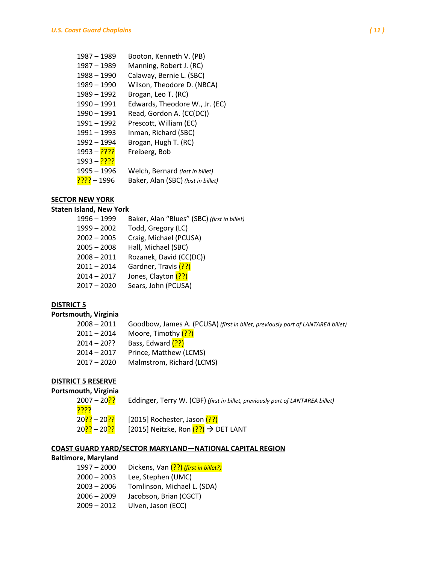| 1987 – 1989              | Booton, Kenneth V. (PB)            |
|--------------------------|------------------------------------|
| 1987 - 1989              | Manning, Robert J. (RC)            |
| 1988 - 1990              | Calaway, Bernie L. (SBC)           |
| 1989 - 1990              | Wilson, Theodore D. (NBCA)         |
| 1989 - 1992              | Brogan, Leo T. (RC)                |
| 1990 - 1991              | Edwards, Theodore W., Jr. (EC)     |
| 1990 - 1991              | Read, Gordon A. (CC(DC))           |
| 1991 - 1992              | Prescott, William (EC)             |
| 1991 - 1993              | Inman, Richard (SBC)               |
| 1992 - 1994              | Brogan, Hugh T. (RC)               |
| <mark>????</mark> – 1993 | Freiberg, Bob                      |
| <mark>????</mark> – 1993 |                                    |
| 1995 - 1996              | Welch, Bernard (last in billet)    |
| 1996 – <mark>????</mark> | Baker, Alan (SBC) (last in billet) |
|                          |                                    |

# **SECTOR NEW YORK**

## **Staten Island, New York**

| $1996 - 1999$ | Baker, Alan "Blues" (SBC) (first in billet) |
|---------------|---------------------------------------------|
| $1999 - 2002$ | Todd, Gregory (LC)                          |
| $2002 - 2005$ | Craig, Michael (PCUSA)                      |
| $2005 - 2008$ | Hall, Michael (SBC)                         |
| $2008 - 2011$ | Rozanek, David (CC(DC))                     |
| $2011 - 2014$ | Gardner, Travis (??)                        |
| $2014 - 2017$ | Jones, Clayton (??)                         |
| $2017 - 2020$ | Sears, John (PCUSA)                         |
|               |                                             |

### **DISTRICT 5**

# **Portsmouth, Virginia**

| $2008 - 2011$ | Goodbow, James A. (PCUSA) (first in billet, previously part of LANTAREA billet) |
|---------------|---------------------------------------------------------------------------------|
| $2011 - 2014$ | Moore, Timothy (??)                                                             |
| $2014 - 20$ ? | Bass, Edward (??)                                                               |
| $2014 - 2017$ | Prince, Matthew (LCMS)                                                          |
| $2017 - 2020$ | Malmstrom. Richard (LCMS)                                                       |
|               |                                                                                 |

# **DISTRICT 5 RESERVE**

# **Portsmouth, Virginia**

| 2007 – 20 <mark>??</mark>               | Eddinger, Terry W. (CBF) (first in billet, previously part of LANTAREA billet) |
|-----------------------------------------|--------------------------------------------------------------------------------|
| <u>קקקק</u>                             |                                                                                |
| 20 <mark>??</mark> – 20 <mark>??</mark> | [2015] Rochester, Jason (??)                                                   |
| 20 <mark>??</mark> – 20 <mark>??</mark> | [2015] Neitzke, Ron $(??)$ $\rightarrow$ DET LANT                              |

### **COAST GUARD YARD/SECTOR MARYLAND—NATIONAL CAPITAL REGION**

# **Baltimore, Maryland**

| $1997 - 2000$ | Dickens, Van (??) (first in billet?) |
|---------------|--------------------------------------|
| $2000 - 2003$ | Lee, Stephen (UMC)                   |
| $2003 - 2006$ | Tomlinson, Michael L. (SDA)          |
| $2006 - 2009$ | Jacobson, Brian (CGCT)               |
| $2009 - 2012$ | Ulven, Jason (ECC)                   |
|               |                                      |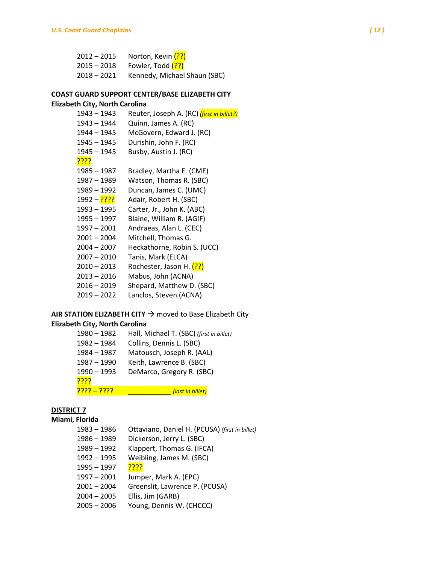| $2012 - 2015$ | Norton, Kevin (??)                       |
|---------------|------------------------------------------|
| 2015 – 2018   | Fowler, Todd <mark>(??)</mark>           |
|               | 2018 - 2021 Kennedy, Michael Shaun (SBC) |

### **COAST GUARD SUPPORT CENTER/BASE ELIZABETH CITY**

# **Elizabeth City, North Carolina** – 1943 Reuter, Joseph A. (RC) *(first in billet?)* – 1944 Quinn, James A. (RC) – 1945 McGovern, Edward J. (RC) – 1945 Durishin, John F. (RC) – 1945 Busby, Austin J. (RC) <mark>?????</mark> – 1987 Bradley, Martha E. (CME) – 1989 Watson, Thomas R. (SBC) – 1992 Duncan, James C. (UMC) 1992 – <sup>????</sup> Adair, Robert H. (SBC) – 1995 Carter, Jr., John K. (ABC) – 1997 Blaine, William R. (AGIF) – 2001 Andraeas, Alan L. (CEC) – 2004 Mitchell, Thomas G. – 2007 Heckathorne, Robin S. (UCC) – 2010 Tanis, Mark (ELCA) 2010 – 2013 Rochester, Jason H. (??) – 2016 Mabus, John (ACNA) – 2019 Shepard, Matthew D. (SBC) – 2022 Lanclos, Steven (ACNA)

## **AIR STATION ELIZABETH CITY**  $\rightarrow$  moved to Base Elizabeth City

### **Elizabeth City, North Carolina**

| 1980 - 1982        | Hall, Michael T. (SBC) (first in billet) |
|--------------------|------------------------------------------|
| 1982 - 1984        | Collins, Dennis L. (SBC)                 |
| $1984 - 1987$      | Matousch, Joseph R. (AAL)                |
| 1987 - 1990        | Keith, Lawrence B. (SBC)                 |
| $1990 - 1993$      | DeMarco, Gregory R. (SBC)                |
| <u>קקקק</u>        |                                          |
| <u>???? – ????</u> | (last in billet)                         |

## **DISTRICT 7**

# **Miami, Florida**

| $1983 - 1986$ | Ottaviano, Daniel H. (PCUSA) (first in billet) |
|---------------|------------------------------------------------|
| $1986 - 1989$ | Dickerson, Jerry L. (SBC)                      |
| 1989 - 1992   | Klappert, Thomas G. (IFCA)                     |
| $1992 - 1995$ | Weibling, James M. (SBC)                       |
| $1995 - 1997$ | <mark>????</mark>                              |
| $1997 - 2001$ | Jumper, Mark A. (EPC)                          |
| $2001 - 2004$ | Greenslit, Lawrence P. (PCUSA)                 |
| $2004 - 2005$ | Ellis, Jim (GARB)                              |
| $2005 - 2006$ | Young, Dennis W. (CHCCC)                       |
|               |                                                |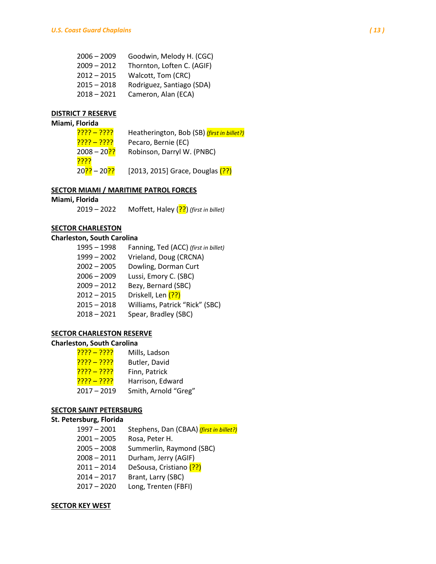| $2006 - 2009$ | Goodwin, Melody H. (CGC)   |
|---------------|----------------------------|
| $2009 - 2012$ | Thornton, Loften C. (AGIF) |
| $2012 - 2015$ | Walcott, Tom (CRC)         |
| $2015 - 2018$ | Rodriguez, Santiago (SDA)  |
| $2018 - 2021$ | Cameron, Alan (ECA)        |
|               |                            |

### **DISTRICT 7 RESERVE**

### **Miami, Florida**

| <u> ???? – ????</u>                     | Heatherington, Bob (SB) (first in billet?) |
|-----------------------------------------|--------------------------------------------|
| <u> ???? – ????</u>                     | Pecaro, Bernie (EC)                        |
| 2008 – 20 <mark>??</mark>               | Robinson, Darryl W. (PNBC)                 |
| <u>קקקק</u>                             |                                            |
| 20 <mark>??</mark> – 20 <mark>??</mark> | [2013, 2015] Grace, Douglas (??)           |

#### **SECTOR MIAMI / MARITIME PATROL FORCES**

#### **Miami, Florida**

2019 – 2022 Moffett, Haley (??) *(first in billet)*

### **SECTOR CHARLESTON**

### **Charleston, South Carolina**

| $1995 - 1998$ | Fanning, Ted (ACC) (first in billet) |
|---------------|--------------------------------------|
| $1999 - 2002$ | Vrieland, Doug (CRCNA)               |
| $2002 - 2005$ | Dowling, Dorman Curt                 |
| $2006 - 2009$ | Lussi, Emory C. (SBC)                |
| $2009 - 2012$ | Bezy, Bernard (SBC)                  |
| $2012 - 2015$ | Driskell, Len (??)                   |
| $2015 - 2018$ | Williams, Patrick "Rick" (SBC)       |
| $2018 - 2021$ | Spear, Bradley (SBC)                 |

#### **SECTOR CHARLESTON RESERVE**

#### **Charleston, South Carolina**

| <u> ???? – ????</u> | Mills, Ladson        |
|---------------------|----------------------|
| <u>???? – ????</u>  | Butler, David        |
| <u> ???? – ????</u> | Finn, Patrick        |
| <u> ???? – ????</u> | Harrison, Edward     |
| $2017 - 2019$       | Smith, Arnold "Greg" |

#### **SECTOR SAINT PETERSBURG**

### **St. Petersburg, Florida**

- 1997 2001 Stephens, Dan (CBAA) *(first in billet?)*
- 2001 2005 Rosa, Peter H.
- 2005 2008 Summerlin, Raymond (SBC)
- 2008 2011 Durham, Jerry (AGIF)
- 2011 2014 DeSousa, Cristiano (??)
- 2014 2017 Brant, Larry (SBC)
- 2017 2020 Long, Trenten (FBFI)

### **SECTOR KEY WEST**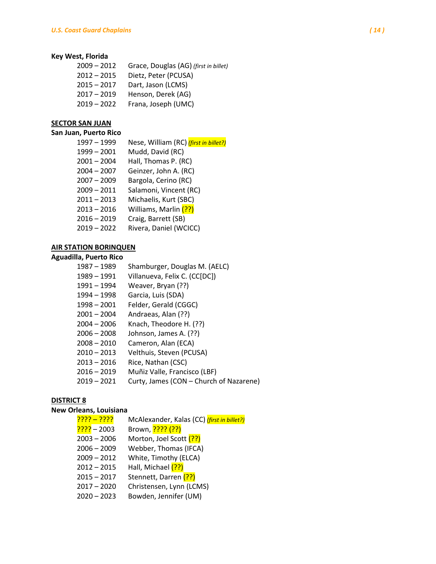# **Key West, Florida**

| 2009 - 2012   | Grace, Douglas (AG) (first in billet) |
|---------------|---------------------------------------|
| 2012 - 2015   | Dietz, Peter (PCUSA)                  |
| $2015 - 2017$ | Dart, Jason (LCMS)                    |
| $2017 - 2019$ | Henson, Derek (AG)                    |
| $2019 - 2022$ | Frana, Joseph (UMC)                   |
|               |                                       |

## **SECTOR SAN JUAN**

## **San Juan, Puerto Rico**

| 1997 - 1999   | Nese, William (RC) (first in billet?) |
|---------------|---------------------------------------|
| $1999 - 2001$ | Mudd, David (RC)                      |
| $2001 - 2004$ | Hall, Thomas P. (RC)                  |
| $2004 - 2007$ | Geinzer, John A. (RC)                 |
| $2007 - 2009$ | Bargola, Cerino (RC)                  |
| $2009 - 2011$ | Salamoni, Vincent (RC)                |
| $2011 - 2013$ | Michaelis, Kurt (SBC)                 |
| $2013 - 2016$ | Williams, Marlin (??)                 |
| $2016 - 2019$ | Craig, Barrett (SB)                   |
| $2019 - 2022$ | Rivera, Daniel (WCICC)                |

# **AIR STATION BORINQUEN**

# **Aguadilla, Puerto Rico**

| 1987 - 1989   | Shamburger, Douglas M. (AELC)           |
|---------------|-----------------------------------------|
| 1989 - 1991   | Villanueva, Felix C. (CC[DC])           |
| 1991 - 1994   | Weaver, Bryan (??)                      |
| 1994 - 1998   | Garcia, Luis (SDA)                      |
| $1998 - 2001$ | Felder, Gerald (CGGC)                   |
| $2001 - 2004$ | Andraeas, Alan (??)                     |
| $2004 - 2006$ | Knach, Theodore H. (??)                 |
| $2006 - 2008$ | Johnson, James A. (??)                  |
| $2008 - 2010$ | Cameron, Alan (ECA)                     |
| $2010 - 2013$ | Velthuis, Steven (PCUSA)                |
| $2013 - 2016$ | Rice, Nathan (CSC)                      |
| $2016 - 2019$ | Muñiz Valle, Francisco (LBF)            |
| $2019 - 2021$ | Curty, James (CON - Church of Nazarene) |
|               |                                         |

# **DISTRICT 8**

# **New Orleans, Louisiana**

| <mark>???? – ????</mark> | McAlexander, Kalas (CC) (first in billet?) |
|--------------------------|--------------------------------------------|
| 2003 – <mark>????</mark> | Brown, <mark>???? (??)</mark>              |
| $2003 - 2006$            | Morton, Joel Scott (??)                    |
| $2006 - 2009$            | Webber, Thomas (IFCA)                      |
| $2009 - 2012$            | White, Timothy (ELCA)                      |
| $2012 - 2015$            | Hall, Michael (??)                         |
| $2015 - 2017$            | Stennett, Darren (??)                      |
| $2017 - 2020$            | Christensen, Lynn (LCMS)                   |
| $2020 - 2023$            | Bowden, Jennifer (UM)                      |
|                          |                                            |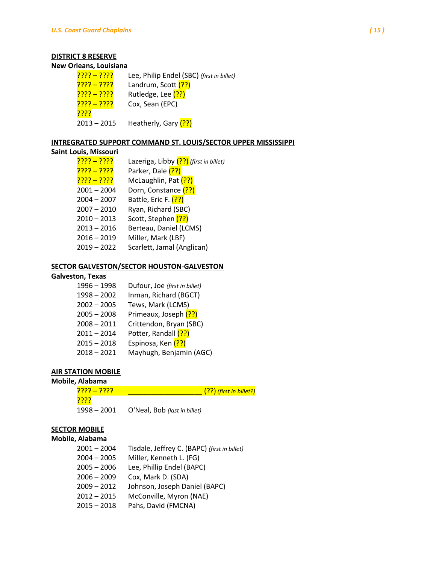# **DISTRICT 8 RESERVE**

#### **New Orleans, Louisiana**

| <u>???? – ????</u>  | Lee, Philip Endel (SBC) (first in billet) |
|---------------------|-------------------------------------------|
| <u>???? – ????</u>  | Landrum, Scott (??)                       |
| <u> ???? – ????</u> | Rutledge, Lee (??)                        |
| <u> ???? – ????</u> | Cox, Sean (EPC)                           |
| <u>????</u>         |                                           |
| 2013 - 2015         | Heatherly, Gary (??)                      |

## **INTREGRATED SUPPORT COMMAND ST. LOUIS/SECTOR UPPER MISSISSIPPI**

### **Saint Louis, Missouri**

| <u> ???? – ????</u> | Lazeriga, Libby (??) (first in billet) |
|---------------------|----------------------------------------|
| <u>???? – ????</u>  | Parker, Dale (??)                      |
| <u>???? – ????</u>  | McLaughlin, Pat (??)                   |
| $2001 - 2004$       | Dorn, Constance (??)                   |
| $2004 - 2007$       | Battle, Eric F. (??)                   |
| $2007 - 2010$       | Ryan, Richard (SBC)                    |
| $2010 - 2013$       | Scott, Stephen (??)                    |
| $2013 - 2016$       | Berteau, Daniel (LCMS)                 |
| $2016 - 2019$       | Miller, Mark (LBF)                     |
| $2019 - 2022$       | Scarlett, Jamal (Anglican)             |
|                     |                                        |

## **SECTOR GALVESTON/SECTOR HOUSTON-GALVESTON**

## **Galveston, Texas**

| 1996 - 1998   | Dufour, Joe (first in billet) |
|---------------|-------------------------------|
| $1998 - 2002$ | Inman, Richard (BGCT)         |
| $2002 - 2005$ | Tews, Mark (LCMS)             |
| $2005 - 2008$ | Primeaux, Joseph (??)         |
| $2008 - 2011$ | Crittendon, Bryan (SBC)       |
| $2011 - 2014$ | Potter, Randall (??)          |
| $2015 - 2018$ | Espinosa, Ken (??)            |
| $2018 - 2021$ | Mayhugh, Benjamin (AGC)       |
|               |                               |

# **AIR STATION MOBILE**

### **Mobile, Alabama**

| <u>???? – ????</u> | (??) (first in billet?)      |
|--------------------|------------------------------|
| <u>קקקק</u>        |                              |
| $1998 - 2001$      | O'Neal, Bob (last in billet) |

# **SECTOR MOBILE**

## **Mobile, Alabama**

| $2001 - 2004$ | Tisdale, Jeffrey C. (BAPC) (first in billet) |
|---------------|----------------------------------------------|
| $2004 - 2005$ | Miller, Kenneth L. (FG)                      |
| $2005 - 2006$ | Lee, Phillip Endel (BAPC)                    |
| $2006 - 2009$ | Cox, Mark D. (SDA)                           |
| $2009 - 2012$ | Johnson, Joseph Daniel (BAPC)                |
| $2012 - 2015$ | McConville, Myron (NAE)                      |
| $2015 - 2018$ | Pahs, David (FMCNA)                          |
|               |                                              |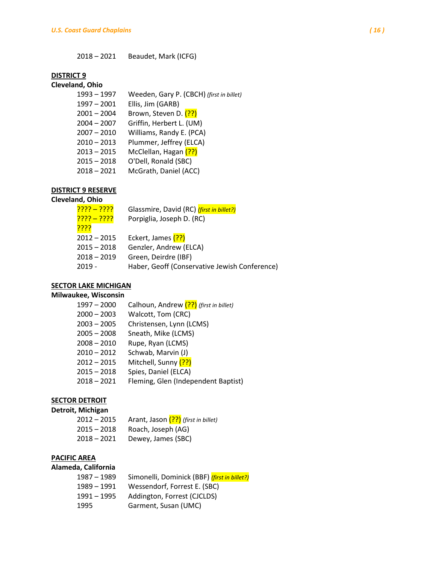– 2021 Beaudet, Mark (ICFG)

## **DISTRICT 9**

## **Cleveland, Ohio**

| 1993 – 1997 | Weeden, Gary P. (CBCH) (first in billet) |
|-------------|------------------------------------------|
| 1997 – 2001 | Ellis, Jim (GARB)                        |
| 2001 – 2004 | Brown, Steven D. (??)                    |
| 2004 – 2007 | Griffin, Herbert L. (UM)                 |
| 2007 – 2010 | Williams, Randy E. (PCA)                 |
| 2010 – 2013 | Plummer, Jeffrey (ELCA)                  |
| 2013 – 2015 | McClellan, Hagan (??)                    |
| 2015 - 2018 | O'Dell, Ronald (SBC)                     |
| 2018 - 2021 | McGrath, Daniel (ACC)                    |
|             |                                          |

# **DISTRICT 9 RESERVE**

# **Cleveland, Ohio**

| <u>???? – ????</u> | Glassmire, David (RC) (first in billet?)      |
|--------------------|-----------------------------------------------|
| <u>???? – ????</u> | Porpiglia, Joseph D. (RC)                     |
| <u>????</u>        |                                               |
| $2012 - 2015$      | Eckert, James (??)                            |
| $2015 - 2018$      | Genzler, Andrew (ELCA)                        |
| $2018 - 2019$      | Green, Deirdre (IBF)                          |
| $2019 -$           | Haber, Geoff (Conservative Jewish Conference) |
|                    |                                               |

# **SECTOR LAKE MICHIGAN**

### **Milwaukee, Wisconsin**

| $1997 - 2000$ | Calhoun, Andrew (??) (first in billet) |
|---------------|----------------------------------------|
| $2000 - 2003$ | Walcott, Tom (CRC)                     |
| $2003 - 2005$ | Christensen, Lynn (LCMS)               |
| $2005 - 2008$ | Sneath, Mike (LCMS)                    |
| $2008 - 2010$ | Rupe, Ryan (LCMS)                      |
| $2010 - 2012$ | Schwab, Marvin (J)                     |
| $2012 - 2015$ | Mitchell, Sunny (??)                   |
| $2015 - 2018$ | Spies, Daniel (ELCA)                   |
| $2018 - 2021$ | Fleming, Glen (Independent Baptist)    |

# **SECTOR DETROIT**

# **Detroit, Michigan**

| $2012 - 2015$ | Arant, Jason (??) (first in billet) |
|---------------|-------------------------------------|
| $2015 - 2018$ | Roach, Joseph (AG)                  |
| $2018 - 2021$ | Dewey, James (SBC)                  |

# **PACIFIC AREA**

# **Alameda, California**

| 1987 - 1989   | Simonelli, Dominick (BBF) (first in billet?) |
|---------------|----------------------------------------------|
| 1989 – 1991   | Wessendorf, Forrest E. (SBC)                 |
| $1991 - 1995$ | Addington, Forrest (CJCLDS)                  |
| 1995          | Garment, Susan (UMC)                         |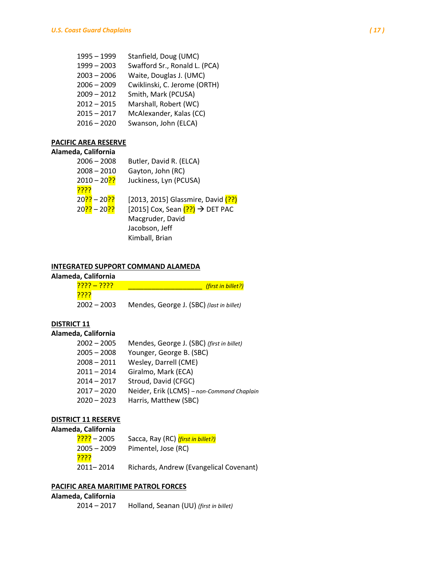| $1995 - 1999$ | Stanfield, Doug (UMC)         |
|---------------|-------------------------------|
| $1999 - 2003$ | Swafford Sr., Ronald L. (PCA) |
| $2003 - 2006$ | Waite, Douglas J. (UMC)       |
| $2006 - 2009$ | Cwiklinski, C. Jerome (ORTH)  |
| $2009 - 2012$ | Smith, Mark (PCUSA)           |
| $2012 - 2015$ | Marshall, Robert (WC)         |
| $2015 - 2017$ | McAlexander, Kalas (CC)       |
| $2016 - 2020$ | Swanson, John (ELCA)          |
|               |                               |

## **PACIFIC AREA RESERVE**

### **Alameda, California**

| $2006 - 2008$                           | Butler, David R. (ELCA)            |
|-----------------------------------------|------------------------------------|
| $2008 - 2010$                           | Gayton, John (RC)                  |
| $2010 - 20$ ?                           | Juckiness, Lyn (PCUSA)             |
| <u>קקקק</u>                             |                                    |
| 20 <mark>??</mark> – 20 <mark>??</mark> | [2013, 2015] Glassmire, David (??) |
| 20 <mark>??</mark> – 20 <mark>??</mark> | [2015] Cox, Sean (??) → DET PAC    |
|                                         | Macgruder, David                   |
|                                         | Jacobson, Jeff                     |
|                                         | Kimball, Brian                     |

# **INTEGRATED SUPPORT COMMAND ALAMEDA**

## **Alameda, California**

| <u> ???? – ????</u> | (first in billet?)                       |
|---------------------|------------------------------------------|
| <u>????</u>         |                                          |
| $2002 - 2003$       | Mendes, George J. (SBC) (last in billet) |

# **DISTRICT 11**

# **Alameda, California**

| $2002 - 2005$ | Mendes, George J. (SBC) (first in billet)  |
|---------------|--------------------------------------------|
| $2005 - 2008$ | Younger, George B. (SBC)                   |
| $2008 - 2011$ | Wesley, Darrell (CME)                      |
| $2011 - 2014$ | Giralmo, Mark (ECA)                        |
| $2014 - 2017$ | Stroud, David (CFGC)                       |
| $2017 - 2020$ | Neider, Erik (LCMS) - non-Command Chaplain |
| $2020 - 2023$ | Harris, Matthew (SBC)                      |
|               |                                            |

# **DISTRICT 11 RESERVE**

### **Alameda, California**

| 2005 – <mark>????</mark> | Sacca, Ray (RC) (first in billet?)      |
|--------------------------|-----------------------------------------|
| $2005 - 2009$            | Pimentel, Jose (RC)                     |
| <mark>????</mark>        |                                         |
| 2011-2014                | Richards, Andrew (Evangelical Covenant) |

## **PACIFIC AREA MARITIME PATROL FORCES**

## **Alameda, California**

| $2014 - 2017$ | Holland, Seanan (UU) (first in billet) |  |
|---------------|----------------------------------------|--|
|---------------|----------------------------------------|--|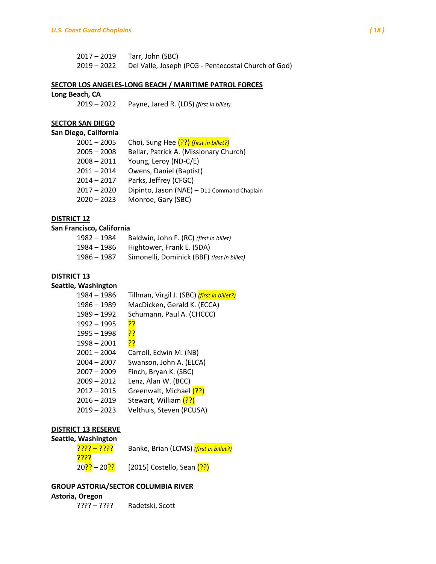| $2017 - 2019$ | Tarr, John (SBC)                                                |
|---------------|-----------------------------------------------------------------|
|               | 2019 – 2022 Del Valle, Joseph (PCG - Pentecostal Church of God) |

#### **SECTOR LOS ANGELES-LONG BEACH / MARITIME PATROL FORCES**

#### **Long Beach, CA**

– 2022 Payne, Jared R. (LDS) *(first in billet)*

## **SECTOR SAN DIEGO**

#### **San Diego, California**

| $2001 - 2005$ | Choi, Sung Hee (??) (first in billet?)      |
|---------------|---------------------------------------------|
| $2005 - 2008$ | Bellar, Patrick A. (Missionary Church)      |
| $2008 - 2011$ | Young, Leroy (ND-C/E)                       |
| $2011 - 2014$ | Owens, Daniel (Baptist)                     |
| $2014 - 2017$ | Parks, Jeffrey (CFGC)                       |
| $2017 - 2020$ | Dipinto, Jason (NAE) - D11 Command Chaplain |
| $2020 - 2023$ | Monroe, Gary (SBC)                          |

# **DISTRICT 12**

### **San Francisco, California**

| 1982 - 1984 | Baldwin, John F. (RC) (first in billet)    |
|-------------|--------------------------------------------|
| 1984 – 1986 | Hightower, Frank E. (SDA)                  |
| 1986 – 1987 | Simonelli, Dominick (BBF) (last in billet) |

#### **DISTRICT 13**

### **Seattle, Washington**

| 1984 - 1986   | Tillman, Virgil J. (SBC) <i>(first in billet?)</i> |  |
|---------------|----------------------------------------------------|--|
| 1986 - 1989   | MacDicken, Gerald K. (ECCA)                        |  |
| 1989 - 1992   | Schumann, Paul A. (CHCCC)                          |  |
| $1992 - 1995$ | 55                                                 |  |
| $1995 - 1998$ | <u>??</u>                                          |  |
| 1998 - 2001   | <u>??</u>                                          |  |
| $2001 - 2004$ | Carroll, Edwin M. (NB)                             |  |
| $2004 - 2007$ | Swanson, John A. (ELCA)                            |  |
| $2007 - 2009$ | Finch, Bryan K. (SBC)                              |  |
| $2009 - 2012$ | Lenz, Alan W. (BCC)                                |  |
| $2012 - 2015$ | Greenwalt, Michael (??)                            |  |
| $2016 - 2019$ | Stewart, William (??)                              |  |
| $2019 - 2023$ | Velthuis, Steven (PCUSA)                           |  |
|               |                                                    |  |

### **DISTRICT 13 RESERVE**

## **Seattle, Washington**

| <u>???? – ????</u>                      | Banke, Brian (LCMS) <i>(first in billet?)</i> |
|-----------------------------------------|-----------------------------------------------|
| <u>????</u>                             |                                               |
| 20 <mark>??</mark> – 20 <mark>??</mark> | [2015] Costello, Sean $(?)$                   |

### **GROUP ASTORIA/SECTOR COLUMBIA RIVER**

# **Astoria, Oregon**

| ???? – ????<br>. | Radetski, Scott |
|------------------|-----------------|
|------------------|-----------------|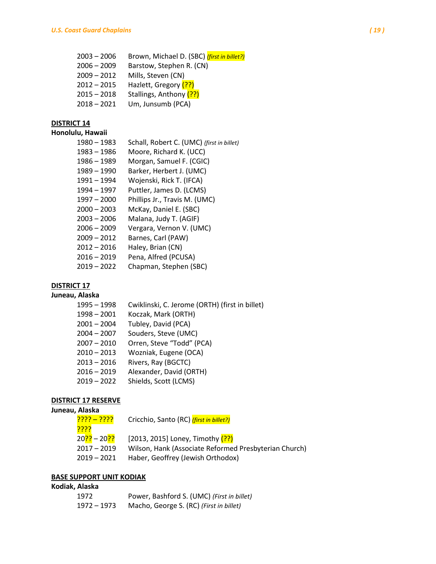- 2006 Brown, Michael D. (SBC) *(first in billet?)* – 2009 Barstow, Stephen R. (CN) – 2012 Mills, Steven (CN) 2012 – 2015 Hazlett, Gregory (??) 2015 – 2018 Stallings, Anthony (??)
- 2021 Um, Junsumb (PCA)

# **DISTRICT 14**

# **Honolulu, Hawaii**

| 1980 - 1983   | Schall, Robert C. (UMC) (first in billet) |
|---------------|-------------------------------------------|
| 1983 - 1986   | Moore, Richard K. (UCC)                   |
| 1986 - 1989   | Morgan, Samuel F. (CGIC)                  |
| $1989 - 1990$ | Barker, Herbert J. (UMC)                  |
| 1991 - 1994   | Wojenski, Rick T. (IFCA)                  |
| 1994 - 1997   | Puttler, James D. (LCMS)                  |
| $1997 - 2000$ | Phillips Jr., Travis M. (UMC)             |
| $2000 - 2003$ | McKay, Daniel E. (SBC)                    |
| $2003 - 2006$ | Malana, Judy T. (AGIF)                    |
| $2006 - 2009$ | Vergara, Vernon V. (UMC)                  |
| $2009 - 2012$ | Barnes, Carl (PAW)                        |
| $2012 - 2016$ | Haley, Brian (CN)                         |
| $2016 - 2019$ | Pena, Alfred (PCUSA)                      |
| $2019 - 2022$ | Chapman, Stephen (SBC)                    |
|               |                                           |

# **DISTRICT 17**

## **Juneau, Alaska**

| $1995 - 1998$ | Cwiklinski, C. Jerome (ORTH) (first in billet) |
|---------------|------------------------------------------------|
| $1998 - 2001$ | Koczak, Mark (ORTH)                            |
| $2001 - 2004$ | Tubley, David (PCA)                            |
| $2004 - 2007$ | Souders, Steve (UMC)                           |
| $2007 - 2010$ | Orren, Steve "Todd" (PCA)                      |
| $2010 - 2013$ | Wozniak, Eugene (OCA)                          |
| $2013 - 2016$ | Rivers, Ray (BGCTC)                            |
| $2016 - 2019$ | Alexander, David (ORTH)                        |
| $2019 - 2022$ | Shields, Scott (LCMS)                          |
|               |                                                |

## **DISTRICT 17 RESERVE**

### **Juneau, Alaska**

| <u>???? – ????</u>                      | Cricchio, Santo (RC) (first in billet?)               |
|-----------------------------------------|-------------------------------------------------------|
| <u>????</u>                             |                                                       |
| 20 <mark>??</mark> – 20 <mark>??</mark> | [2013, 2015] Loney, Timothy $(?)$                     |
| 2017 – 2019                             | Wilson, Hank (Associate Reformed Presbyterian Church) |
| 2019 – 2021                             | Haber, Geoffrey (Jewish Orthodox)                     |
|                                         |                                                       |

## **BASE SUPPORT UNIT KODIAK**

## **Kodiak, Alaska**

| 1972        | Power, Bashford S. (UMC) (First in billet) |
|-------------|--------------------------------------------|
| 1972 – 1973 | Macho, George S. (RC) (First in billet)    |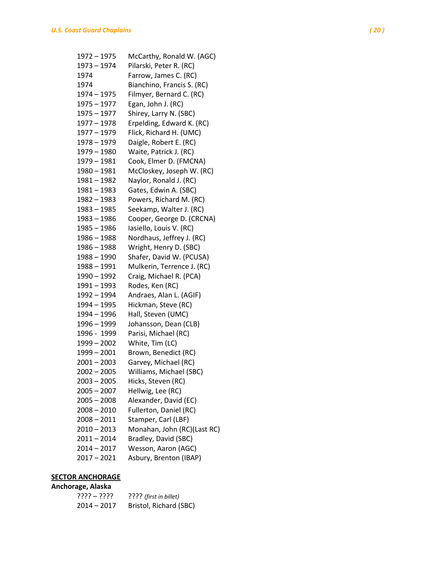| 1972 - 1975   | McCarthy, Ronald W. (AGC)   |
|---------------|-----------------------------|
| 1973 - 1974   | Pilarski, Peter R. (RC)     |
| 1974          | Farrow, James C. (RC)       |
| 1974          | Bianchino, Francis S. (RC)  |
| 1974 - 1975   | Filmyer, Bernard C. (RC)    |
| 1975 - 1977   | Egan, John J. (RC)          |
| $1975 - 1977$ | Shirey, Larry N. (SBC)      |
| 1977 - 1978   | Erpelding, Edward K. (RC)   |
| 1977 - 1979   | Flick, Richard H. (UMC)     |
| 1978 - 1979   | Daigle, Robert E. (RC)      |
| 1979 - 1980   | Waite, Patrick J. (RC)      |
| 1979 - 1981   | Cook, Elmer D. (FMCNA)      |
| 1980 - 1981   | McCloskey, Joseph W. (RC)   |
| $1981 - 1982$ | Naylor, Ronald J. (RC)      |
| 1981 – 1983   | Gates, Edwin A. (SBC)       |
| 1982 - 1983   | Powers, Richard M. (RC)     |
| 1983 - 1985   | Seekamp, Walter J. (RC)     |
| 1983 - 1986   | Cooper, George D. (CRCNA)   |
| 1985 - 1986   | Iasiello, Louis V. (RC)     |
| 1986 - 1988   | Nordhaus, Jeffrey J. (RC)   |
| 1986 - 1988   | Wright, Henry D. (SBC)      |
| 1988 - 1990   | Shafer, David W. (PCUSA)    |
| 1988 - 1991   | Mulkerin, Terrence J. (RC)  |
| 1990 - 1992   | Craig, Michael R. (PCA)     |
| 1991 - 1993   | Rodes, Ken (RC)             |
| 1992 - 1994   | Andraes, Alan L. (AGIF)     |
| 1994 - 1995   | Hickman, Steve (RC)         |
| 1994 - 1996   | Hall, Steven (UMC)          |
| 1996 - 1999   | Johansson, Dean (CLB)       |
| 1996 - 1999   | Parisi, Michael (RC)        |
| $1999 - 2002$ | White, Tim (LC)             |
| $1999 - 2001$ | Brown, Benedict (RC)        |
| $2001 - 2003$ | Garvey, Michael (RC)        |
| $2002 - 2005$ | Williams, Michael (SBC)     |
| $2003 - 2005$ | Hicks, Steven (RC)          |
| $2005 - 2007$ | Hellwig, Lee (RC)           |
| $2005 - 2008$ | Alexander, David (EC)       |
| $2008 - 2010$ | Fullerton, Daniel (RC)      |
| $2008 - 2011$ | Stamper, Carl (LBF)         |
| $2010 - 2013$ | Monahan, John (RC)(Last RC) |
| $2011 - 2014$ | Bradley, David (SBC)        |
| $2014 - 2017$ | Wesson, Aaron (AGC)         |
| $2017 - 2021$ | Asbury, Brenton (IBAP)      |

# **SECTOR ANCHORAGE Anchorage, Alaska**

| ???? – ????   | ???? (first in billet) |
|---------------|------------------------|
| $2014 - 2017$ | Bristol, Richard (SBC) |